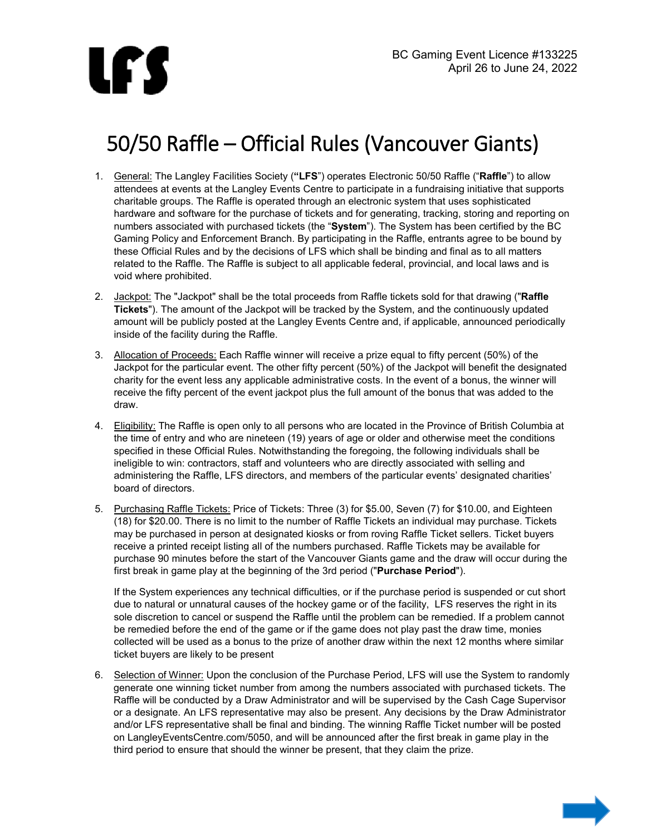

## 50/50 Raffle – Official Rules (Vancouver Giants)

- 1. General: The Langley Facilities Society (**"LFS**") operates Electronic 50/50 Raffle ("**Raffle**") to allow attendees at events at the Langley Events Centre to participate in a fundraising initiative that supports charitable groups. The Raffle is operated through an electronic system that uses sophisticated hardware and software for the purchase of tickets and for generating, tracking, storing and reporting on numbers associated with purchased tickets (the "**System**"). The System has been certified by the BC Gaming Policy and Enforcement Branch. By participating in the Raffle, entrants agree to be bound by these Official Rules and by the decisions of LFS which shall be binding and final as to all matters related to the Raffle. The Raffle is subject to all applicable federal, provincial, and local laws and is void where prohibited.
- 2. Jackpot: The "Jackpot" shall be the total proceeds from Raffle tickets sold for that drawing ("**Raffle Tickets**"). The amount of the Jackpot will be tracked by the System, and the continuously updated amount will be publicly posted at the Langley Events Centre and, if applicable, announced periodically inside of the facility during the Raffle.
- 3. Allocation of Proceeds: Each Raffle winner will receive a prize equal to fifty percent (50%) of the Jackpot for the particular event. The other fifty percent (50%) of the Jackpot will benefit the designated charity for the event less any applicable administrative costs. In the event of a bonus, the winner will receive the fifty percent of the event jackpot plus the full amount of the bonus that was added to the draw.
- 4. Eligibility: The Raffle is open only to all persons who are located in the Province of British Columbia at the time of entry and who are nineteen (19) years of age or older and otherwise meet the conditions specified in these Official Rules. Notwithstanding the foregoing, the following individuals shall be ineligible to win: contractors, staff and volunteers who are directly associated with selling and administering the Raffle, LFS directors, and members of the particular events' designated charities' board of directors.
- 5. Purchasing Raffle Tickets: Price of Tickets: Three (3) for \$5.00, Seven (7) for \$10.00, and Eighteen (18) for \$20.00. There is no limit to the number of Raffle Tickets an individual may purchase. Tickets may be purchased in person at designated kiosks or from roving Raffle Ticket sellers. Ticket buyers receive a printed receipt listing all of the numbers purchased. Raffle Tickets may be available for purchase 90 minutes before the start of the Vancouver Giants game and the draw will occur during the first break in game play at the beginning of the 3rd period ("**Purchase Period**").

If the System experiences any technical difficulties, or if the purchase period is suspended or cut short due to natural or unnatural causes of the hockey game or of the facility, LFS reserves the right in its sole discretion to cancel or suspend the Raffle until the problem can be remedied. If a problem cannot be remedied before the end of the game or if the game does not play past the draw time, monies collected will be used as a bonus to the prize of another draw within the next 12 months where similar ticket buyers are likely to be present

6. Selection of Winner: Upon the conclusion of the Purchase Period, LFS will use the System to randomly generate one winning ticket number from among the numbers associated with purchased tickets. The Raffle will be conducted by a Draw Administrator and will be supervised by the Cash Cage Supervisor or a designate. An LFS representative may also be present. Any decisions by the Draw Administrator and/or LFS representative shall be final and binding. The winning Raffle Ticket number will be posted on LangleyEventsCentre.com/5050, and will be announced after the first break in game play in the third period to ensure that should the winner be present, that they claim the prize.